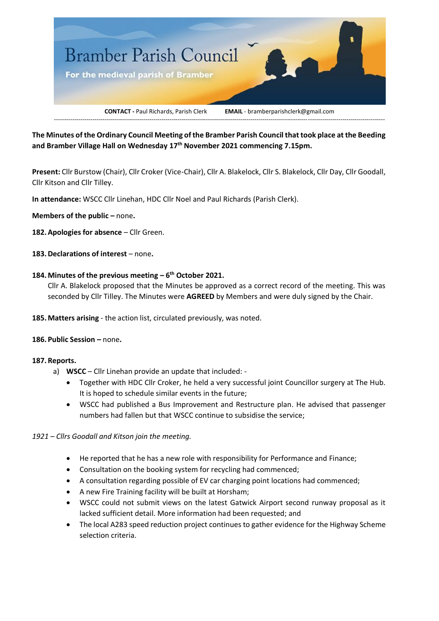

**The Minutes of the Ordinary Council Meeting of the Bramber Parish Council that took place at the Beeding and Bramber Village Hall on Wednesday 17th November 2021 commencing 7.15pm.**

**Present:** Cllr Burstow (Chair), Cllr Croker (Vice-Chair), Cllr A. Blakelock, Cllr S. Blakelock, Cllr Day, Cllr Goodall, Cllr Kitson and Cllr Tilley.

**In attendance:** WSCC Cllr Linehan, HDC Cllr Noel and Paul Richards (Parish Clerk).

**Members of the public –** none**.**

- 182. Apologies for absence Cllr Green.
- **183.Declarations of interest**  none**.**

# **184.Minutes of the previous meeting – 6 th October 2021.**

Cllr A. Blakelock proposed that the Minutes be approved as a correct record of the meeting. This was seconded by Cllr Tilley. The Minutes were **AGREED** by Members and were duly signed by the Chair.

**185.Matters arising** - the action list, circulated previously, was noted.

# **186.Public Session –** none**.**

# **187.Reports.**

- a) **WSCC** Cllr Linehan provide an update that included:
	- Together with HDC Cllr Croker, he held a very successful joint Councillor surgery at The Hub. It is hoped to schedule similar events in the future;
	- WSCC had published a Bus Improvement and Restructure plan. He advised that passenger numbers had fallen but that WSCC continue to subsidise the service;

# *1921 – Cllrs Goodall and Kitson join the meeting.*

- He reported that he has a new role with responsibility for Performance and Finance;
- Consultation on the booking system for recycling had commenced;
- A consultation regarding possible of EV car charging point locations had commenced;
- A new Fire Training facility will be built at Horsham;
- WSCC could not submit views on the latest Gatwick Airport second runway proposal as it lacked sufficient detail. More information had been requested; and
- The local A283 speed reduction project continues to gather evidence for the Highway Scheme selection criteria.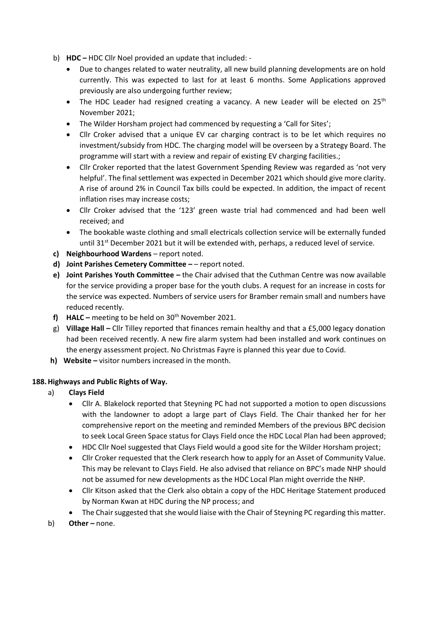- b) **HDC –** HDC Cllr Noel provided an update that included:
	- Due to changes related to water neutrality, all new build planning developments are on hold currently. This was expected to last for at least 6 months. Some Applications approved previously are also undergoing further review;
	- The HDC Leader had resigned creating a vacancy. A new Leader will be elected on  $25<sup>th</sup>$ November 2021;
	- The Wilder Horsham project had commenced by requesting a 'Call for Sites';
	- Cllr Croker advised that a unique EV car charging contract is to be let which requires no investment/subsidy from HDC. The charging model will be overseen by a Strategy Board. The programme will start with a review and repair of existing EV charging facilities.;
	- Cllr Croker reported that the latest Government Spending Review was regarded as 'not very helpful'. The final settlement was expected in December 2021 which should give more clarity. A rise of around 2% in Council Tax bills could be expected. In addition, the impact of recent inflation rises may increase costs;
	- Cllr Croker advised that the '123' green waste trial had commenced and had been well received; and
	- The bookable waste clothing and small electricals collection service will be externally funded until 31<sup>st</sup> December 2021 but it will be extended with, perhaps, a reduced level of service.
- **c) Neighbourhood Wardens**  report noted.
- **d) Joint Parishes Cemetery Committee –** report noted.
- **e) Joint Parishes Youth Committee –** the Chair advised that the Cuthman Centre was now available for the service providing a proper base for the youth clubs. A request for an increase in costs for the service was expected. Numbers of service users for Bramber remain small and numbers have reduced recently.
- **f) HALC –** meeting to be held on 30th November 2021.
- g) **Village Hall –** Cllr Tilley reported that finances remain healthy and that a £5,000 legacy donation had been received recently. A new fire alarm system had been installed and work continues on the energy assessment project. No Christmas Fayre is planned this year due to Covid.
- **h) Website –** visitor numbers increased in the month.

# **188.Highways and Public Rights of Way.**

- a) **Clays Field**
	- Cllr A. Blakelock reported that Steyning PC had not supported a motion to open discussions with the landowner to adopt a large part of Clays Field. The Chair thanked her for her comprehensive report on the meeting and reminded Members of the previous BPC decision to seek Local Green Space status for Clays Field once the HDC Local Plan had been approved;
	- HDC Cllr Noel suggested that Clays Field would a good site for the Wilder Horsham project;
	- Cllr Croker requested that the Clerk research how to apply for an Asset of Community Value. This may be relevant to Clays Field. He also advised that reliance on BPC's made NHP should not be assumed for new developments as the HDC Local Plan might override the NHP.
	- Cllr Kitson asked that the Clerk also obtain a copy of the HDC Heritage Statement produced by Norman Kwan at HDC during the NP process; and
	- The Chair suggested that she would liaise with the Chair of Steyning PC regarding this matter.
- b) **Other** none.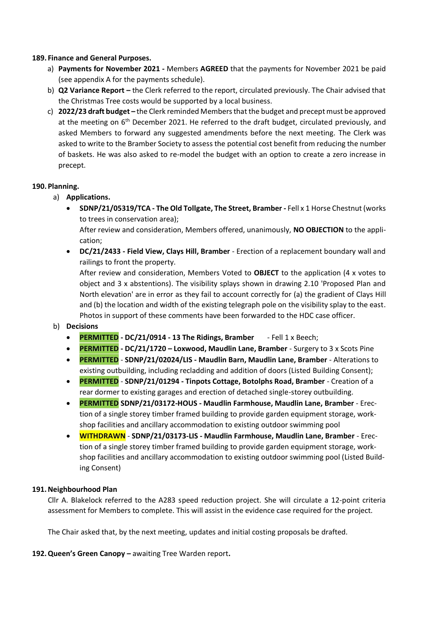# **189. Finance and General Purposes.**

- a) **Payments for November 2021 -** Members **AGREED** that the payments for November 2021 be paid (see appendix A for the payments schedule).
- b) **Q2 Variance Report –** the Clerk referred to the report, circulated previously. The Chair advised that the Christmas Tree costs would be supported by a local business.
- c) **2022/23 draft budget –** the Clerk reminded Members that the budget and precept must be approved at the meeting on  $6<sup>th</sup>$  December 2021. He referred to the draft budget, circulated previously, and asked Members to forward any suggested amendments before the next meeting. The Clerk was asked to write to the Bramber Society to assess the potential cost benefit from reducing the number of baskets. He was also asked to re-model the budget with an option to create a zero increase in precept.

# **190.Planning.**

- a) **Applications.**
	- **SDNP/21/05319/TCA - The Old Tollgate, The Street, Bramber -** Fell x 1 Horse Chestnut (works to trees in conservation area);

After review and consideration, Members offered, unanimously, **NO OBJECTION** to the application;

• **DC/21/2433 - Field View, Clays Hill, Bramber** - Erection of a replacement boundary wall and railings to front the property.

After review and consideration, Members Voted to **OBJECT** to the application (4 x votes to object and 3 x abstentions). The visibility splays shown in drawing 2.10 'Proposed Plan and North elevation' are in error as they fail to account correctly for (a) the gradient of Clays Hill and (b) the location and width of the existing telegraph pole on the visibility splay to the east. Photos in support of these comments have been forwarded to the HDC case officer.

# b) **Decisions**

- **PERMITTED - DC/21/0914 - 13 The Ridings, Bramber** Fell 1 x Beech;
- **PERMITTED - DC/21/1720 – Loxwood, Maudlin Lane, Bramber** Surgery to 3 x Scots Pine
- **PERMITTED SDNP/21/02024/LIS - Maudlin Barn, Maudlin Lane, Bramber** Alterations to existing outbuilding, including recladding and addition of doors (Listed Building Consent);
- **PERMITTED SDNP/21/01294 - Tinpots Cottage, Botolphs Road, Bramber** Creation of a rear dormer to existing garages and erection of detached single-storey outbuilding.
- **PERMITTED SDNP/21/03172-HOUS - Maudlin Farmhouse, Maudlin Lane, Bramber** Erection of a single storey timber framed building to provide garden equipment storage, workshop facilities and ancillary accommodation to existing outdoor swimming pool
- **WITHDRAWN SDNP/21/03173-LIS - Maudlin Farmhouse, Maudlin Lane, Bramber** Erection of a single storey timber framed building to provide garden equipment storage, workshop facilities and ancillary accommodation to existing outdoor swimming pool (Listed Building Consent)

# **191.Neighbourhood Plan**

Cllr A. Blakelock referred to the A283 speed reduction project. She will circulate a 12-point criteria assessment for Members to complete. This will assist in the evidence case required for the project.

The Chair asked that, by the next meeting, updates and initial costing proposals be drafted.

# **192.Queen's Green Canopy –** awaiting Tree Warden report**.**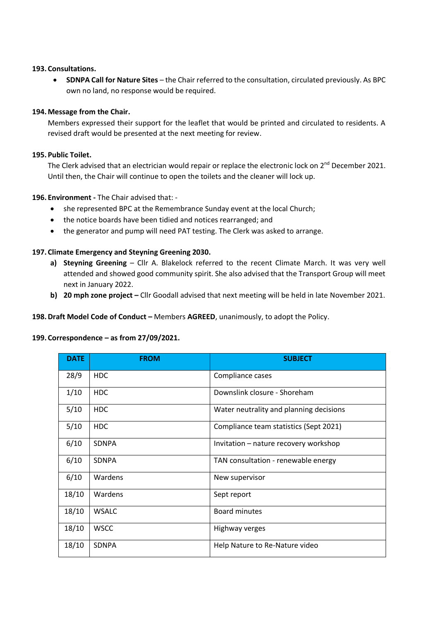#### **193. Consultations.**

• **SDNPA Call for Nature Sites** – the Chair referred to the consultation, circulated previously. As BPC own no land, no response would be required.

# **194.Message from the Chair.**

Members expressed their support for the leaflet that would be printed and circulated to residents. A revised draft would be presented at the next meeting for review.

# **195.Public Toilet.**

The Clerk advised that an electrician would repair or replace the electronic lock on 2<sup>nd</sup> December 2021. Until then, the Chair will continue to open the toilets and the cleaner will lock up.

# **196. Environment -** The Chair advised that: -

- she represented BPC at the Remembrance Sunday event at the local Church;
- the notice boards have been tidied and notices rearranged; and
- the generator and pump will need PAT testing. The Clerk was asked to arrange.

# **197. Climate Emergency and Steyning Greening 2030.**

- **a) Steyning Greening**  Cllr A. Blakelock referred to the recent Climate March. It was very well attended and showed good community spirit. She also advised that the Transport Group will meet next in January 2022.
- **b) 20 mph zone project –** Cllr Goodall advised that next meeting will be held in late November 2021.

**198.Draft Model Code of Conduct –** Members **AGREED**, unanimously, to adopt the Policy.

# **199. Correspondence – as from 27/09/2021.**

| <b>DATE</b> | <b>FROM</b>     | <b>SUBJECT</b>                          |
|-------------|-----------------|-----------------------------------------|
| 28/9        | H <sub>DC</sub> | Compliance cases                        |
| 1/10        | <b>HDC</b>      | Downslink closure - Shoreham            |
| 5/10        | <b>HDC</b>      | Water neutrality and planning decisions |
| 5/10        | HDC             | Compliance team statistics (Sept 2021)  |
| 6/10        | <b>SDNPA</b>    | Invitation – nature recovery workshop   |
| 6/10        | <b>SDNPA</b>    | TAN consultation - renewable energy     |
| 6/10        | Wardens         | New supervisor                          |
| 18/10       | Wardens         | Sept report                             |
| 18/10       | <b>WSALC</b>    | <b>Board minutes</b>                    |
| 18/10       | <b>WSCC</b>     | Highway verges                          |
| 18/10       | <b>SDNPA</b>    | Help Nature to Re-Nature video          |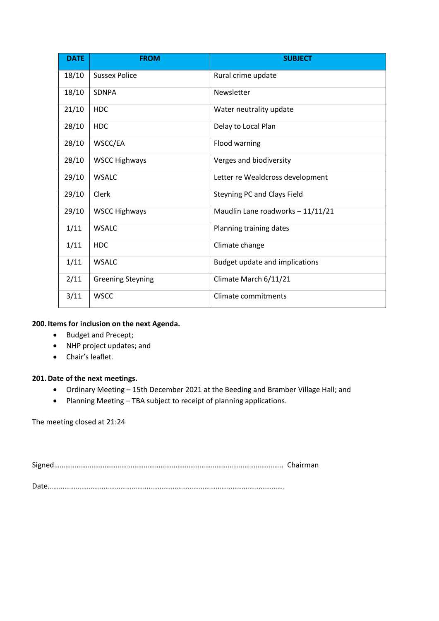| <b>DATE</b> | <b>FROM</b>              | <b>SUBJECT</b>                    |
|-------------|--------------------------|-----------------------------------|
| 18/10       | <b>Sussex Police</b>     | Rural crime update                |
| 18/10       | <b>SDNPA</b>             | Newsletter                        |
| 21/10       | <b>HDC</b>               | Water neutrality update           |
| 28/10       | <b>HDC</b>               | Delay to Local Plan               |
| 28/10       | WSCC/EA                  | Flood warning                     |
| 28/10       | <b>WSCC Highways</b>     | Verges and biodiversity           |
| 29/10       | <b>WSALC</b>             | Letter re Wealdcross development  |
| 29/10       | Clerk                    | Steyning PC and Clays Field       |
| 29/10       | <b>WSCC Highways</b>     | Maudlin Lane roadworks - 11/11/21 |
| 1/11        | <b>WSALC</b>             | Planning training dates           |
| 1/11        | <b>HDC</b>               | Climate change                    |
| 1/11        | <b>WSALC</b>             | Budget update and implications    |
| 2/11        | <b>Greening Steyning</b> | Climate March 6/11/21             |
| 3/11        | <b>WSCC</b>              | Climate commitments               |

# **200.Items for inclusion on the next Agenda.**

- Budget and Precept;
- NHP project updates; and
- Chair's leaflet.

# **201.Date of the next meetings.**

- Ordinary Meeting 15th December 2021 at the Beeding and Bramber Village Hall; and
- Planning Meeting TBA subject to receipt of planning applications.

The meeting closed at 21:24

Signed…………………………………………………………………………………………………………… Chairman

Date……………………………………………………………………………………………………………….